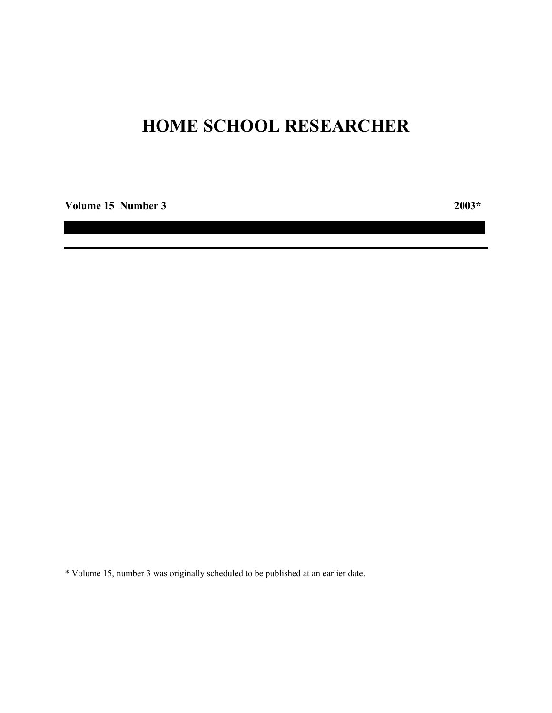# **HOME SCHOOL RESEARCHER**

**Volume 15 Number 3 2003\***

\* Volume 15, number 3 was originally scheduled to be published at an earlier date.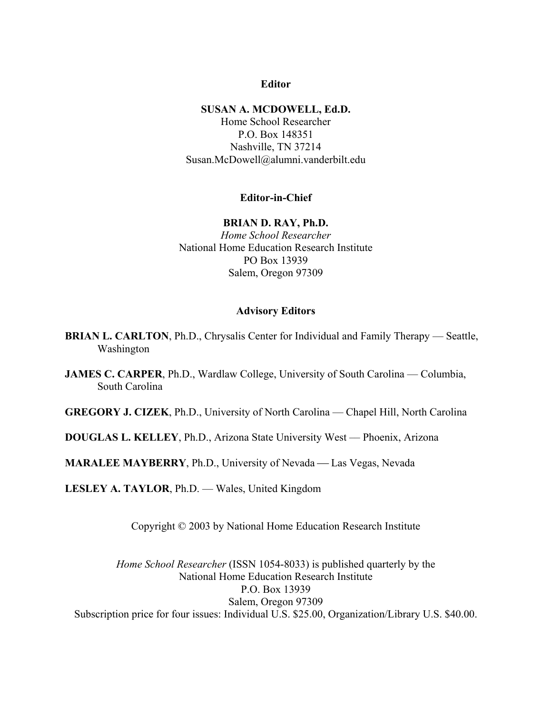# **Editor**

# **SUSAN A. MCDOWELL, Ed.D.**

Home School Researcher P.O. Box 148351 Nashville, TN 37214 Susan.McDowell@alumni.vanderbilt.edu

# **Editor-in-Chief**

## **BRIAN D. RAY, Ph.D.**

*Home School Researcher* National Home Education Research Institute PO Box 13939 Salem, Oregon 97309

## **Advisory Editors**

**BRIAN L. CARLTON**, Ph.D., Chrysalis Center for Individual and Family Therapy — Seattle, Washington

**JAMES C. CARPER**, Ph.D., Wardlaw College, University of South Carolina — Columbia, South Carolina

**GREGORY J. CIZEK**, Ph.D., University of North Carolina — Chapel Hill, North Carolina

**DOUGLAS L. KELLEY**, Ph.D., Arizona State University West –– Phoenix, Arizona

**MARALEE MAYBERRY**, Ph.D., University of Nevada — Las Vegas, Nevada

**LESLEY A. TAYLOR**, Ph.D. — Wales, United Kingdom

Copyright © 2003 by National Home Education Research Institute

*Home School Researcher* (ISSN 1054-8033) is published quarterly by the National Home Education Research Institute P.O. Box 13939 Salem, Oregon 97309 Subscription price for four issues: Individual U.S. \$25.00, Organization/Library U.S. \$40.00.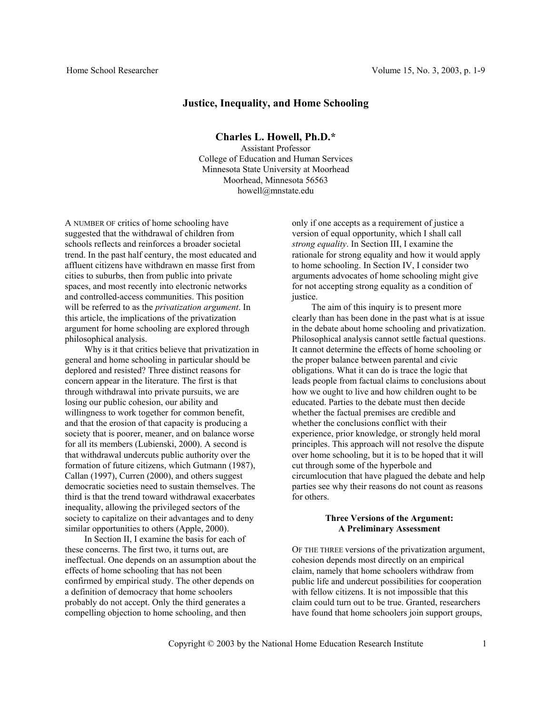## **Justice, Inequality, and Home Schooling**

**Charles L. Howell, Ph.D.\*** Assistant Professor

College of Education and Human Services Minnesota State University at Moorhead Moorhead, Minnesota 56563 howell@mnstate.edu

A NUMBER OF critics of home schooling have suggested that the withdrawal of children from schools reflects and reinforces a broader societal trend. In the past half century, the most educated and affluent citizens have withdrawn en masse first from cities to suburbs, then from public into private spaces, and most recently into electronic networks and controlled-access communities. This position will be referred to as the *privatization argument*. In this article, the implications of the privatization argument for home schooling are explored through philosophical analysis.

Why is it that critics believe that privatization in general and home schooling in particular should be deplored and resisted? Three distinct reasons for concern appear in the literature. The first is that through withdrawal into private pursuits, we are losing our public cohesion, our ability and willingness to work together for common benefit, and that the erosion of that capacity is producing a society that is poorer, meaner, and on balance worse for all its members (Lubienski, 2000). A second is that withdrawal undercuts public authority over the formation of future citizens, which Gutmann (1987), Callan (1997), Curren (2000), and others suggest democratic societies need to sustain themselves. The third is that the trend toward withdrawal exacerbates inequality, allowing the privileged sectors of the society to capitalize on their advantages and to deny similar opportunities to others (Apple, 2000).

In Section II, I examine the basis for each of these concerns. The first two, it turns out, are ineffectual. One depends on an assumption about the effects of home schooling that has not been confirmed by empirical study. The other depends on a definition of democracy that home schoolers probably do not accept. Only the third generates a compelling objection to home schooling, and then

only if one accepts as a requirement of justice a version of equal opportunity, which I shall call *strong equality*. In Section III, I examine the rationale for strong equality and how it would apply to home schooling. In Section IV, I consider two arguments advocates of home schooling might give for not accepting strong equality as a condition of justice.

The aim of this inquiry is to present more clearly than has been done in the past what is at issue in the debate about home schooling and privatization. Philosophical analysis cannot settle factual questions. It cannot determine the effects of home schooling or the proper balance between parental and civic obligations. What it can do is trace the logic that leads people from factual claims to conclusions about how we ought to live and how children ought to be educated. Parties to the debate must then decide whether the factual premises are credible and whether the conclusions conflict with their experience, prior knowledge, or strongly held moral principles. This approach will not resolve the dispute over home schooling, but it is to be hoped that it will cut through some of the hyperbole and circumlocution that have plagued the debate and help parties see why their reasons do not count as reasons for others.

## **Three Versions of the Argument: A Preliminary Assessment**

OF THE THREE versions of the privatization argument, cohesion depends most directly on an empirical claim, namely that home schoolers withdraw from public life and undercut possibilities for cooperation with fellow citizens. It is not impossible that this claim could turn out to be true. Granted, researchers have found that home schoolers join support groups,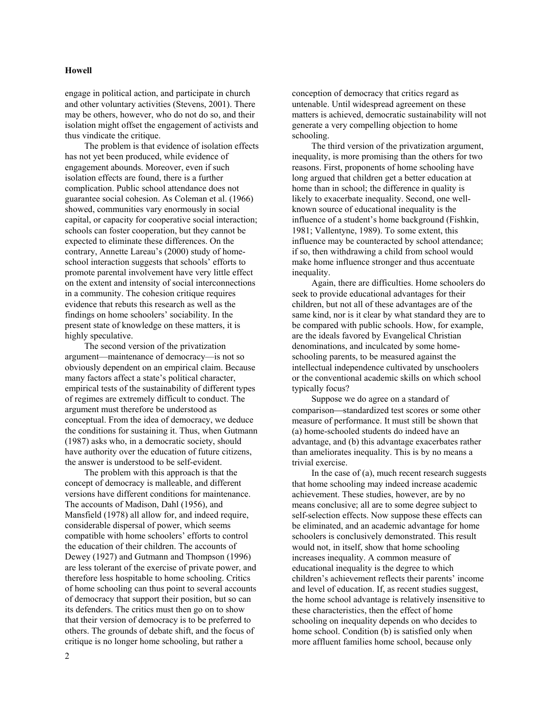#### **Howell**

engage in political action, and participate in church and other voluntary activities (Stevens, 2001). There may be others, however, who do not do so, and their isolation might offset the engagement of activists and thus vindicate the critique.

The problem is that evidence of isolation effects has not yet been produced, while evidence of engagement abounds. Moreover, even if such isolation effects are found, there is a further complication. Public school attendance does not guarantee social cohesion. As Coleman et al. (1966) showed, communities vary enormously in social capital, or capacity for cooperative social interaction; schools can foster cooperation, but they cannot be expected to eliminate these differences. On the contrary, Annette Lareau's (2000) study of homeschool interaction suggests that schools' efforts to promote parental involvement have very little effect on the extent and intensity of social interconnections in a community. The cohesion critique requires evidence that rebuts this research as well as the findings on home schoolers' sociability. In the present state of knowledge on these matters, it is highly speculative.

The second version of the privatization argument—maintenance of democracy—is not so obviously dependent on an empirical claim. Because many factors affect a state's political character, empirical tests of the sustainability of different types of regimes are extremely difficult to conduct. The argument must therefore be understood as conceptual. From the idea of democracy, we deduce the conditions for sustaining it. Thus, when Gutmann (1987) asks who, in a democratic society, should have authority over the education of future citizens, the answer is understood to be self-evident.

The problem with this approach is that the concept of democracy is malleable, and different versions have different conditions for maintenance. The accounts of Madison, Dahl (1956), and Mansfield (1978) all allow for, and indeed require, considerable dispersal of power, which seems compatible with home schoolers' efforts to control the education of their children. The accounts of Dewey (1927) and Gutmann and Thompson (1996) are less tolerant of the exercise of private power, and therefore less hospitable to home schooling. Critics of home schooling can thus point to several accounts of democracy that support their position, but so can its defenders. The critics must then go on to show that their version of democracy is to be preferred to others. The grounds of debate shift, and the focus of critique is no longer home schooling, but rather a

conception of democracy that critics regard as untenable. Until widespread agreement on these matters is achieved, democratic sustainability will not generate a very compelling objection to home schooling.

The third version of the privatization argument, inequality, is more promising than the others for two reasons. First, proponents of home schooling have long argued that children get a better education at home than in school; the difference in quality is likely to exacerbate inequality. Second, one wellknown source of educational inequality is the influence of a student's home background (Fishkin, 1981; Vallentyne, 1989). To some extent, this influence may be counteracted by school attendance; if so, then withdrawing a child from school would make home influence stronger and thus accentuate inequality.

Again, there are difficulties. Home schoolers do seek to provide educational advantages for their children, but not all of these advantages are of the same kind, nor is it clear by what standard they are to be compared with public schools. How, for example, are the ideals favored by Evangelical Christian denominations, and inculcated by some homeschooling parents, to be measured against the intellectual independence cultivated by unschoolers or the conventional academic skills on which school typically focus?

Suppose we do agree on a standard of comparison—standardized test scores or some other measure of performance. It must still be shown that (a) home-schooled students do indeed have an advantage, and (b) this advantage exacerbates rather than ameliorates inequality. This is by no means a trivial exercise.

In the case of (a), much recent research suggests that home schooling may indeed increase academic achievement. These studies, however, are by no means conclusive; all are to some degree subject to self-selection effects. Now suppose these effects can be eliminated, and an academic advantage for home schoolers is conclusively demonstrated. This result would not, in itself, show that home schooling increases inequality. A common measure of educational inequality is the degree to which children's achievement reflects their parents' income and level of education. If, as recent studies suggest, the home school advantage is relatively insensitive to these characteristics, then the effect of home schooling on inequality depends on who decides to home school. Condition (b) is satisfied only when more affluent families home school, because only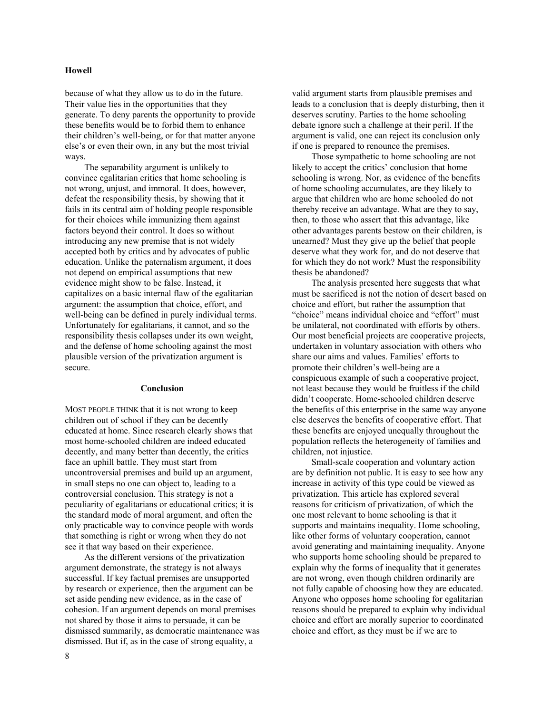#### **Howell**

because of what they allow us to do in the future. Their value lies in the opportunities that they generate. To deny parents the opportunity to provide these benefits would be to forbid them to enhance their children's well-being, or for that matter anyone else's or even their own, in any but the most trivial ways.

The separability argument is unlikely to convince egalitarian critics that home schooling is not wrong, unjust, and immoral. It does, however, defeat the responsibility thesis, by showing that it fails in its central aim of holding people responsible for their choices while immunizing them against factors beyond their control. It does so without introducing any new premise that is not widely accepted both by critics and by advocates of public education. Unlike the paternalism argument, it does not depend on empirical assumptions that new evidence might show to be false. Instead, it capitalizes on a basic internal flaw of the egalitarian argument: the assumption that choice, effort, and well-being can be defined in purely individual terms. Unfortunately for egalitarians, it cannot, and so the responsibility thesis collapses under its own weight, and the defense of home schooling against the most plausible version of the privatization argument is secure.

#### **Conclusion**

MOST PEOPLE THINK that it is not wrong to keep children out of school if they can be decently educated at home. Since research clearly shows that most home-schooled children are indeed educated decently, and many better than decently, the critics face an uphill battle. They must start from uncontroversial premises and build up an argument, in small steps no one can object to, leading to a controversial conclusion. This strategy is not a peculiarity of egalitarians or educational critics; it is the standard mode of moral argument, and often the only practicable way to convince people with words that something is right or wrong when they do not see it that way based on their experience.

As the different versions of the privatization argument demonstrate, the strategy is not always successful. If key factual premises are unsupported by research or experience, then the argument can be set aside pending new evidence, as in the case of cohesion. If an argument depends on moral premises not shared by those it aims to persuade, it can be dismissed summarily, as democratic maintenance was dismissed. But if, as in the case of strong equality, a

valid argument starts from plausible premises and leads to a conclusion that is deeply disturbing, then it deserves scrutiny. Parties to the home schooling debate ignore such a challenge at their peril. If the argument is valid, one can reject its conclusion only if one is prepared to renounce the premises.

Those sympathetic to home schooling are not likely to accept the critics' conclusion that home schooling is wrong. Nor, as evidence of the benefits of home schooling accumulates, are they likely to argue that children who are home schooled do not thereby receive an advantage. What are they to say, then, to those who assert that this advantage, like other advantages parents bestow on their children, is unearned? Must they give up the belief that people deserve what they work for, and do not deserve that for which they do not work? Must the responsibility thesis be abandoned?

The analysis presented here suggests that what must be sacrificed is not the notion of desert based on choice and effort, but rather the assumption that "choice" means individual choice and "effort" must be unilateral, not coordinated with efforts by others. Our most beneficial projects are cooperative projects, undertaken in voluntary association with others who share our aims and values. Families' efforts to promote their children's well-being are a conspicuous example of such a cooperative project, not least because they would be fruitless if the child didn't cooperate. Home-schooled children deserve the benefits of this enterprise in the same way anyone else deserves the benefits of cooperative effort. That these benefits are enjoyed unequally throughout the population reflects the heterogeneity of families and children, not injustice.

Small-scale cooperation and voluntary action are by definition not public. It is easy to see how any increase in activity of this type could be viewed as privatization. This article has explored several reasons for criticism of privatization, of which the one most relevant to home schooling is that it supports and maintains inequality. Home schooling, like other forms of voluntary cooperation, cannot avoid generating and maintaining inequality. Anyone who supports home schooling should be prepared to explain why the forms of inequality that it generates are not wrong, even though children ordinarily are not fully capable of choosing how they are educated. Anyone who opposes home schooling for egalitarian reasons should be prepared to explain why individual choice and effort are morally superior to coordinated choice and effort, as they must be if we are to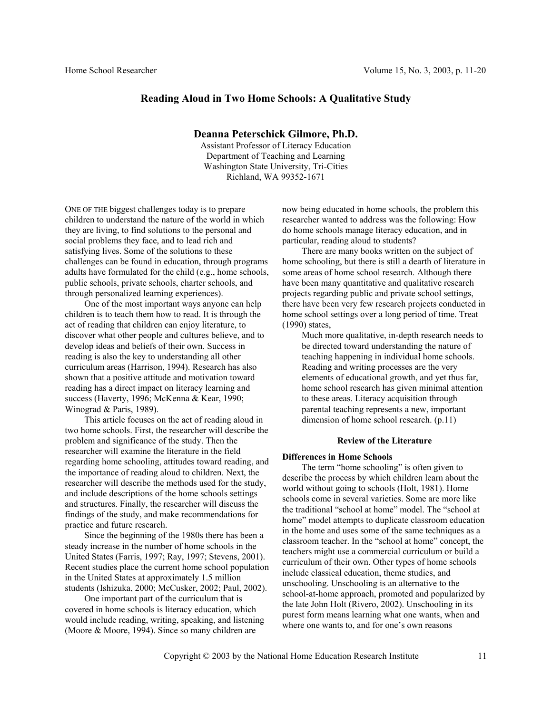## **Reading Aloud in Two Home Schools: A Qualitative Study**

## **Deanna Peterschick Gilmore, Ph.D.**

Assistant Professor of Literacy Education Department of Teaching and Learning Washington State University, Tri-Cities Richland, WA 99352-1671

ONE OF THE biggest challenges today is to prepare children to understand the nature of the world in which they are living, to find solutions to the personal and social problems they face, and to lead rich and satisfying lives. Some of the solutions to these challenges can be found in education, through programs adults have formulated for the child (e.g., home schools, public schools, private schools, charter schools, and through personalized learning experiences).

One of the most important ways anyone can help children is to teach them how to read. It is through the act of reading that children can enjoy literature, to discover what other people and cultures believe, and to develop ideas and beliefs of their own. Success in reading is also the key to understanding all other curriculum areas (Harrison, 1994). Research has also shown that a positive attitude and motivation toward reading has a direct impact on literacy learning and success (Haverty, 1996; McKenna & Kear, 1990; Winograd & Paris, 1989).

This article focuses on the act of reading aloud in two home schools. First, the researcher will describe the problem and significance of the study. Then the researcher will examine the literature in the field regarding home schooling, attitudes toward reading, and the importance of reading aloud to children. Next, the researcher will describe the methods used for the study, and include descriptions of the home schools settings and structures. Finally, the researcher will discuss the findings of the study, and make recommendations for practice and future research.

Since the beginning of the 1980s there has been a steady increase in the number of home schools in the United States (Farris, 1997; Ray, 1997; Stevens, 2001). Recent studies place the current home school population in the United States at approximately 1.5 million students (Ishizuka, 2000; McCusker, 2002; Paul, 2002).

One important part of the curriculum that is covered in home schools is literacy education, which would include reading, writing, speaking, and listening (Moore & Moore, 1994). Since so many children are

now being educated in home schools, the problem this researcher wanted to address was the following: How do home schools manage literacy education, and in particular, reading aloud to students?

There are many books written on the subject of home schooling, but there is still a dearth of literature in some areas of home school research. Although there have been many quantitative and qualitative research projects regarding public and private school settings, there have been very few research projects conducted in home school settings over a long period of time. Treat (1990) states,

Much more qualitative, in-depth research needs to be directed toward understanding the nature of teaching happening in individual home schools. Reading and writing processes are the very elements of educational growth, and yet thus far, home school research has given minimal attention to these areas. Literacy acquisition through parental teaching represents a new, important dimension of home school research. (p.11)

#### **Review of the Literature**

#### **Differences in Home Schools**

The term "home schooling" is often given to describe the process by which children learn about the world without going to schools (Holt, 1981). Home schools come in several varieties. Some are more like the traditional "school at home" model. The "school at home" model attempts to duplicate classroom education in the home and uses some of the same techniques as a classroom teacher. In the "school at home" concept, the teachers might use a commercial curriculum or build a curriculum of their own. Other types of home schools include classical education, theme studies, and unschooling. Unschooling is an alternative to the school-at-home approach, promoted and popularized by the late John Holt (Rivero, 2002). Unschooling in its purest form means learning what one wants, when and where one wants to, and for one's own reasons